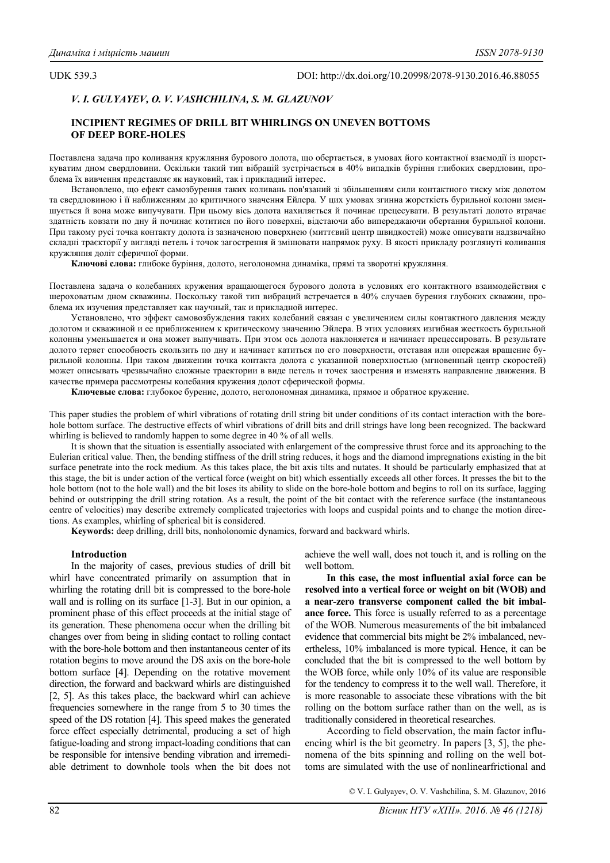UDK 539.3 DOI: http://dx.doi.org/10.20998/2078-9130.2016.46.88055

# *V. I. GULYAYEV, O. V. VASHCHILINA, S. M. GLAZUNOV*

## **INCIPIENT REGIMES OF DRILL BIT WHIRLINGS ON UNEVEN BOTTOMS OF DEEP BORE-HOLES**

Поставлена задача про коливання кружляння бурового долота, що обертається, в умовах його контактної взаємодії із шорсткуватим дном свердловини. Оскільки такий тип вібрацій зустрічається в 40% випадків буріння глибоких свердловин, проблема їх вивчення представляє як науковий, так і прикладний інтерес.

Встановлено, що ефект самозбурення таких коливань пов'язаний зі збільшенням сили контактного тиску між долотом та свердловиною і її наближенням до критичного значення Ейлера. У цих умовах згинна жорсткість бурильної колони зменшується й вона може випучувати. При цьому вісь долота нахиляється й починає прецесувати. В результаті долото втрачає здатність ковзати по дну й починає котитися по його поверхні, відстаючи або випереджаючи обертання бурильної колони. При такому русі точка контакту долота із зазначеною поверхнею (миттєвий центр швидкостей) може описувати надзвичайно складні траєкторії у вигляді петель і точок загострення й змінювати напрямок руху. В якості прикладу розглянуті коливання кружляння доліт сферичної форми.

**Ключові слова:** глибоке буріння, долото, неголономна динаміка, прямі та зворотні кружляння.

Поставлена задача о колебаниях кружения вращающегося бурового долота в условиях его контактного взаимодействия с шероховатым дном скважины. Поскольку такой тип вибраций встречается в 40% случаев бурения глубоких скважин, проблема их изучения представляет как научный, так и прикладной интерес.

Установлено, что эффект самовозбуждения таких колебаний связан с увеличением силы контактного давления между долотом и скважиной и ее приближением к критическому значению Эйлера. В этих условиях изгибная жесткость бурильной колонны уменьшается и она может выпучивать. При этом ось долота наклоняется и начинает прецессировать. В результате долото теряет способность скользить по дну и начинает катиться по его поверхности, отставая или опережая вращение бурильной колонны. При таком движении точка контакта долота с указанной поверхностью (мгновенный центр скоростей) может описывать чрезвычайно сложные траектории в виде петель и точек заострения и изменять направление движения. В качестве примера рассмотрены колебания кружения долот сферической формы.

**Ключевые слова:** глубокое бурение, долото, неголономная динамика, прямое и обратное кружение.

This paper studies the problem of whirl vibrations of rotating drill string bit under conditions of its contact interaction with the borehole bottom surface. The destructive effects of whirl vibrations of drill bits and drill strings have long been recognized. The backward whirling is believed to randomly happen to some degree in 40 % of all wells.

It is shown that the situation is essentially associated with enlargement of the compressive thrust force and its approaching to the Eulerian critical value. Then, the bending stiffness of the drill string reduces, it hogs and the diamond impregnations existing in the bit surface penetrate into the rock medium. As this takes place, the bit axis tilts and nutates. It should be particularly emphasized that at this stage, the bit is under action of the vertical force (weight on bit) which essentially exceeds all other forces. It presses the bit to the hole bottom (not to the hole wall) and the bit loses its ability to slide on the bore-hole bottom and begins to roll on its surface, lagging behind or outstripping the drill string rotation. As a result, the point of the bit contact with the reference surface (the instantaneous centre of velocities) may describe extremely complicated trajectories with loops and cuspidal points and to change the motion directions. As examples, whirling of spherical bit is considered.

**Keywords:** deep drilling, drill bits, nonholonomic dynamics, forward and backward whirls.

## **Introduction**

In the majority of cases, previous studies of drill bit whirl have concentrated primarily on assumption that in whirling the rotating drill bit is compressed to the bore-hole wall and is rolling on its surface [1-3]. But in our opinion, a prominent phase of this effect proceeds at the initial stage of its generation. These phenomena occur when the drilling bit changes over from being in sliding contact to rolling contact with the bore-hole bottom and then instantaneous center of its rotation begins to move around the DS axis on the bore-hole bottom surface [4]. Depending on the rotative movement direction, the forward and backward whirls are distinguished [2, 5]. As this takes place, the backward whirl can achieve frequencies somewhere in the range from 5 to 30 times the speed of the DS rotation [4]. This speed makes the generated force effect especially detrimental, producing a set of high fatigue-loading and strong impact-loading conditions that can be responsible for intensive bending vibration and irremediable detriment to downhole tools when the bit does not

achieve the well wall, does not touch it, and is rolling on the well bottom.

**In this case, the most influential axial force can be resolved into a vertical force or weight on bit (WOB) and a near-zero transverse component called the bit imbalance force.** This force is usually referred to as a percentage of the WOB. Numerous measurements of the bit imbalanced evidence that commercial bits might be 2% imbalanced, nevertheless, 10% imbalanced is more typical. Hence, it can be concluded that the bit is compressed to the well bottom by the WOB force, while only 10% of its value are responsible for the tendency to compress it to the well wall. Therefore, it is more reasonable to associate these vibrations with the bit rolling on the bottom surface rather than on the well, as is traditionally considered in theoretical researches.

According to field observation, the main factor influencing whirl is the bit geometry. In papers [3, 5], the phenomena of the bits spinning and rolling on the well bottoms are simulated with the use of nonlinearfrictional and

© V. I. Gulyayev, O. V. Vashchilina, S. M. Glazunov, 2016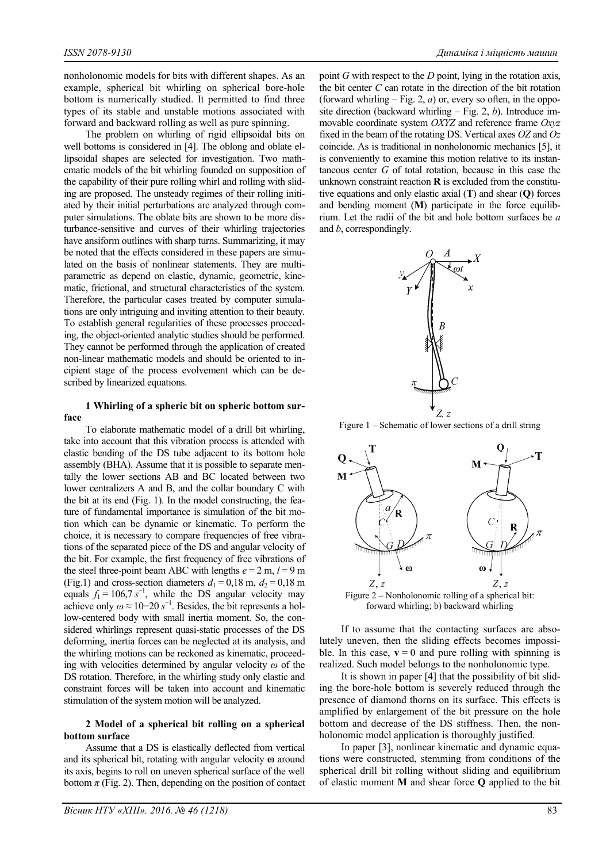nonholonomic models for bits with different shapes. As an example, spherical bit whirling on spherical bore-hole bottom is numerically studied. It permitted to find three types of its stable and unstable motions associated with forward and backward rolling as well as pure spinning.

The problem on whirling of rigid ellipsoidal bits on well bottoms is considered in [4]. The oblong and oblate ellipsoidal shapes are selected for investigation. Two mathematic models of the bit whirling founded on supposition of the capability of their pure rolling whirl and rolling with sliding are proposed. The unsteady regimes of their rolling initiated by their initial perturbations are analyzed through computer simulations. The oblate bits are shown to be more disturbance-sensitive and curves of their whirling trajectories have ansiform outlines with sharp turns. Summarizing, it may be noted that the effects considered in these papers are simulated on the basis of nonlinear statements. They are multiparametric as depend on elastic, dynamic, geometric, kinematic, frictional, and structural characteristics of the system. Therefore, the particular cases treated by computer simulations are only intriguing and inviting attention to their beauty. To establish general regularities of these processes proceeding, the object-oriented analytic studies should be performed. They cannot be performed through the application of created non-linear mathematic models and should be oriented to incipient stage of the process evolvement which can be described by linearized equations.

## **1 Whirling of a spheric bit on spheric bottom surface**

To elaborate mathematic model of a drill bit whirling, take into account that this vibration process is attended with elastic bending of the DS tube adjacent to its bottom hole assembly (BHA). Assume that it is possible to separate mentally the lower sections AB and BC located between two lower centralizers A and B, and the collar boundary C with the bit at its end (Fig. 1). In the model constructing, the feature of fundamental importance is simulation of the bit motion which can be dynamic or kinematic. To perform the choice, it is necessary to compare frequencies of free vibrations of the separated piece of the DS and angular velocity of the bit. For example, the first frequency of free vibrations of the steel three-point beam ABC with lengths  $e = 2$  m,  $l = 9$  m (Fig.1) and cross-section diameters  $d_1 = 0.18$  m,  $d_2 = 0.18$  m equals  $f_1 = 106.7 s^{-1}$ , while the DS angular velocity may achieve only  $\omega \approx 10-20 s^{-1}$ . Besides, the bit represents a hollow-centered body with small inertia moment. So, the considered whirlings represent quasi-static processes of the DS deforming, inertia forces can be neglected at its analysis, and the whirling motions can be reckoned as kinematic, proceeding with velocities determined by angular velocity *ω* of the DS rotation. Therefore, in the whirling study only elastic and constraint forces will be taken into account and kinematic stimulation of the system motion will be analyzed.

## **2 Model of a spherical bit rolling on a spherical bottom surface**

Assume that a DS is elastically deflected from vertical and its spherical bit, rotating with angular velocity **ω** around its axis, begins to roll on uneven spherical surface of the well bottom  $\pi$  (Fig. 2). Then, depending on the position of contact point *G* with respect to the *D* point, lying in the rotation axis, the bit center *C* can rotate in the direction of the bit rotation (forward whirling  $-$  Fig. 2, *a*) or, every so often, in the opposite direction (backward whirling – Fig. 2, *b*). Introduce immovable coordinate system *OXYZ* and reference frame *Oxyz* fixed in the beam of the rotating DS. Vertical axes *OZ* and *Oz* coincide. As is traditional in nonholonomic mechanics [5], it is conveniently to examine this motion relative to its instantaneous center *G* of total rotation, because in this case the unknown constraint reaction **R** is excluded from the constitutive equations and only elastic axial (**T**) and shear (**Q**) forces and bending moment (**M**) participate in the force equilibrium. Let the radii of the bit and hole bottom surfaces be *a* and *b*, correspondingly.



Figure 1 – Schematic of lower sections of a drill string



forward whirling; b) backward whirling

If to assume that the contacting surfaces are absolutely uneven, then the sliding effects becomes impossible. In this case,  $\mathbf{v} = 0$  and pure rolling with spinning is realized. Such model belongs to the nonholonomic type.

It is shown in paper [4] that the possibility of bit sliding the bore-hole bottom is severely reduced through the presence of diamond thorns on its surface. This effects is amplified by enlargement of the bit pressure on the hole bottom and decrease of the DS stiffness. Then, the nonholonomic model application is thoroughly justified.

In paper [3], nonlinear kinematic and dynamic equations were constructed, stemming from conditions of the spherical drill bit rolling without sliding and equilibrium of elastic moment **M** and shear force **Q** applied to the bit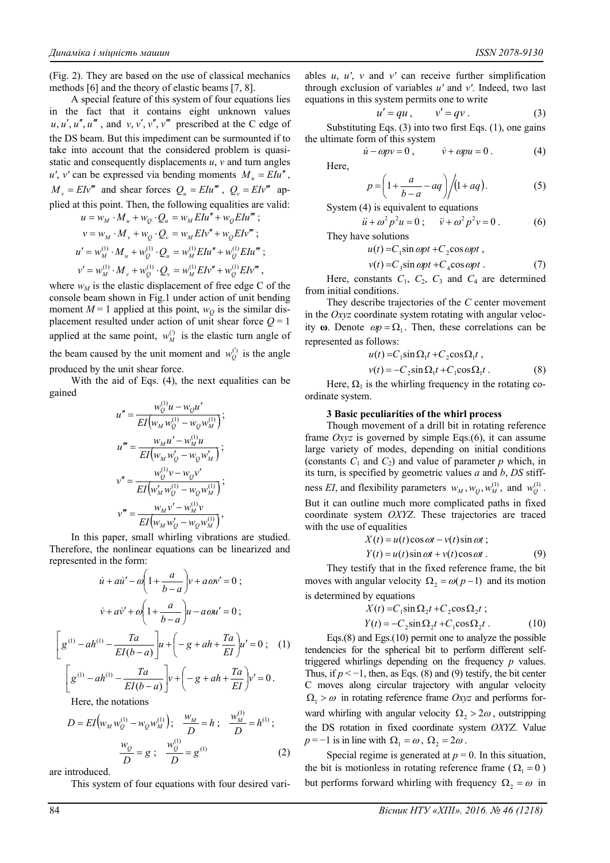(Fig. 2). They are based on the use of classical mechanics methods [6] and the theory of elastic beams [7, 8].

A special feature of this system of four equations lies in the fact that it contains eight unknown values  $u, u', u'', u'''$ , and  $v, v', v'', v'''$  prescribed at the C edge of the DS beam. But this impediment can be surmounted if to take into account that the considered problem is quasistatic and consequently displacements *u*, *v* and turn angles  $u'$ ,  $v'$  can be expressed via bending moments  $M_u = E I u''$ ,  $M_v = E I v'''$  and shear forces  $Q_u = E I u'''$ ,  $Q_v = E I v'''$  applied at this point. Then, the following equalities are valid:  $u = w_{\alpha} \cdot M + w_{\alpha} \cdot Q = w_{\alpha} E I u'' + w_{\alpha} E I u'''$ 

$$
u = w_M \cdot M_u + w_Q \cdot Q_u = w_M E I u + w_Q E I u ,
$$
  
\n
$$
v = w_M \cdot M_v + w_Q \cdot Q_v = w_M E I v'' + w_Q E I v'' ;
$$
  
\n
$$
u' = w_M^{(1)} \cdot M_u + w_Q^{(1)} \cdot Q_u = w_M^{(1)} E I u'' + w_Q^{(1)} E I u''' ;
$$
  
\n
$$
v' = w_M^{(1)} \cdot M_v + w_Q^{(1)} \cdot Q_v = w_M^{(1)} E I v'' + w_Q^{(1)} E I v''',
$$

where  $w_M$  is the elastic displacement of free edge C of the console beam shown in Fig.1 under action of unit bending moment  $M = 1$  applied at this point,  $w<sub>O</sub>$  is the similar displacement resulted under action of unit shear force  $Q = 1$ applied at the same point,  $w_M^{(0)}$  is the elastic turn angle of the beam caused by the unit moment and  $w_0^{(i)}$  is the angle produced by the unit shear force.

With the aid of Eqs. (4), the next equalities can be gained

$$
u'' = \frac{w_Q^{(1)} u - w_Q u'}{EI(w_M w_Q^{(1)} - w_Q w_M^{(1)})};
$$
  
\n
$$
u''' = \frac{w_M u' - w_M^{(1)} u}{EI(w_M w_Q' - w_Q w_M')};
$$
  
\n
$$
v'' = \frac{w_Q^{(1)} v - w_Q v'}{EI(w_M' w_Q^{(1)} - w_Q w_M^{(1)})};
$$
  
\n
$$
v''' = \frac{w_M v' - w_M^{(1)} v}{EI(w_M w_Q' - w_Q w_M^{(1)})},
$$

In this paper, small whirling vibrations are studied. Therefore, the nonlinear equations can be linearized and represented in the form:

$$
\dot{u} + a\dot{u}' - \omega \left( 1 + \frac{a}{b-a} \right) v + a\omega v' = 0 ;
$$
\n
$$
\dot{v} + a\dot{v}' + \omega \left( 1 + \frac{a}{b-a} \right) u - a\omega u' = 0 ;
$$
\n
$$
\left[ g^{(1)} - a h^{(1)} - \frac{T a}{EI(b-a)} \right] u + \left( -g + a h + \frac{T a}{EI} \right) u' = 0 ; \quad (1)
$$
\n
$$
\left[ g^{(1)} - a h^{(1)} - \frac{T a}{EI(b-a)} \right] v + \left( -g + a h + \frac{T a}{EI} \right) v' = 0 .
$$
\nHere, the notations

Here, the notations

$$
D = EI(w_M w_Q^{(1)} - w_Q w_M^{(1)}); \quad \frac{w_M}{D} = h; \quad \frac{w_M^{(1)}}{D} = h^{(1)}; \n\frac{w_Q}{D} = g; \quad \frac{w_Q^{(1)}}{D} = g^{(1)} \tag{2}
$$

 $(1)$ 

are introduced.

This system of four equations with four desired vari-

ables *u*, *u'*, *v* and *v'* can receive further simplification through exclusion of variables *u'* and *v'*. Indeed, two last equations in this system permits one to write

$$
u' = qu, \qquad v' = qv. \tag{3}
$$

Substituting Eqs. (3) into two first Eqs. (1), one gains the ultimate form of this system

$$
\dot{u} - \omega pv = 0, \qquad \dot{v} + \omega pu = 0. \tag{4}
$$

Here,

$$
p = \left(1 + \frac{a}{b-a} - aq\right) \bigg/ (1 + aq). \tag{5}
$$

System (4) is equivalent to equations

$$
\ddot{u} + \omega^2 p^2 u = 0; \quad \ddot{v} + \omega^2 p^2 v = 0.
$$
 (6)

They have solutions

$$
u(t) = C_1 \sin \omega p t + C_2 \cos \omega p t,
$$

$$
v(t) = C_3 \sin \omega p t + C_4 \cos \omega p t. \tag{7}
$$

Here, constants  $C_1$ ,  $C_2$ ,  $C_3$  and  $C_4$  are determined from initial conditions.

They describe trajectories of the *C* center movement in the *Oxyz* coordinate system rotating with angular velocity  $\omega$ . Denote  $\omega p = \Omega_1$ . Then, these correlations can be represented as follows:

$$
u(t) = C_1 \sin \Omega_1 t + C_2 \cos \Omega_1 t ,
$$

$$
v(t) = -C_2 \sin \Omega_1 t + C_1 \cos \Omega_1 t \tag{8}
$$

Here,  $\Omega_1$  is the whirling frequency in the rotating coordinate system.

### **3 Basic peculiarities of the whirl process**

Though movement of a drill bit in rotating reference frame *Oxyz* is governed by simple Eqs.(6), it can assume large variety of modes, depending on initial conditions (constants  $C_1$  and  $C_2$ ) and value of parameter  $p$  which, in its turn, is specified by geometric values *a* and *b*, *DS* stiffness *EI*, and flexibility parameters  $w_M$ ,  $w_Q$ ,  $w_M^{(1)}$ , and  $w_Q^{(1)}$ . But it can outline much more complicated paths in fixed coordinate system *OXYZ*. These trajectories are traced with the use of equalities  $X(t) = u(t) \cos \omega t - v(t) \sin \omega t$ ;

$$
X(t) = u(t) \cos \omega t - v(t) \sin \omega t,
$$
  

$$
Y(t) = u(t) \sin \omega t + v(t) \cos \omega t.
$$
 (9)

They testify that in the fixed reference frame, the bit moves with angular velocity  $\Omega_2 = \omega(p-1)$  and its motion is determined by equations

$$
X(t) = C_1 \sin \Omega_2 t + C_2 \cos \Omega_2 t ;
$$
  
\n
$$
Y(t) = -C_2 \sin \Omega_2 t + C_1 \cos \Omega_2 t .
$$
 (10)

Eqs.(8) and Egs.(10) permit one to analyze the possible tendencies for the spherical bit to perform different selftriggered whirlings depending on the frequency *p* values. Thus, if  $p < -1$ , then, as Eqs. (8) and (9) testify, the bit center C moves along circular trajectory with angular velocity  $\Omega_1 > \omega$  in rotating reference frame *Oxyz* and performs forward whirling with angular velocity  $\Omega_2 > 2\omega$ , outstripping the DS rotation in fixed coordinate system *OXYZ*. Value  $p = -1$  is in line with  $\Omega_1 = \omega$ ,  $\Omega_2 = 2\omega$ .

Special regime is generated at  $p = 0$ . In this situation, the bit is motionless in rotating reference frame ( $\Omega_1 = 0$ ) but performs forward whirling with frequency  $\Omega_2 = \omega$  in